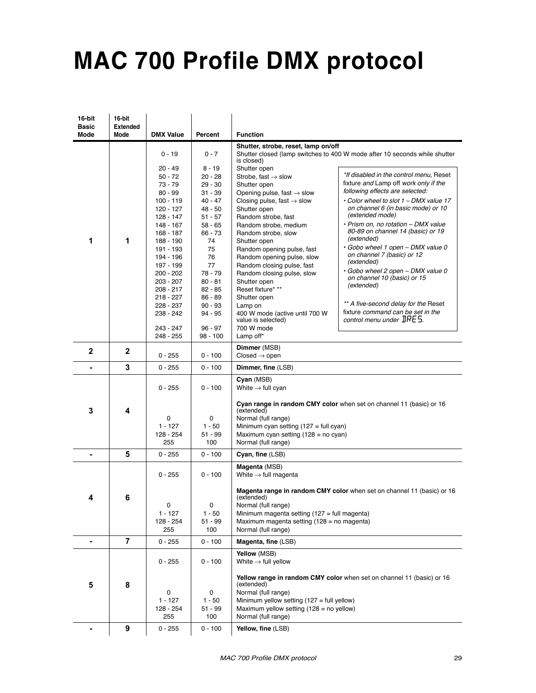## **MAC 700 Profile DMX protocol**

| 16-bit<br><b>Basic</b> | 16-bit<br><b>Extended</b> |                          |                      |                                                                   |                                                                            |
|------------------------|---------------------------|--------------------------|----------------------|-------------------------------------------------------------------|----------------------------------------------------------------------------|
| Mode                   | Mode                      | <b>DMX Value</b>         | Percent              | <b>Function</b>                                                   |                                                                            |
|                        |                           | $0 - 19$                 | $0 - 7$              | Shutter, strobe, reset, lamp on/off<br>is closed)                 | Shutter closed (lamp switches to 400 W mode after 10 seconds while shutter |
|                        |                           | $20 - 49$                | $8 - 19$             | Shutter open                                                      |                                                                            |
|                        |                           | $50 - 72$                | 20 - 28              | Strobe, fast $\rightarrow$ slow                                   | *If disabled in the control menu, Reset                                    |
|                        |                           | $73 - 79$                | $29 - 30$            | Shutter open                                                      | fixture and Lamp off work only if the                                      |
|                        |                           | $80 - 99$                | $31 - 39$            | Opening pulse, fast $\rightarrow$ slow                            | following effects are selected:                                            |
|                        |                           | $100 - 119$              | $40 - 47$            | Closing pulse, fast $\rightarrow$ slow                            | • Color wheel to slot 1 - DMX value 17                                     |
|                        |                           | $120 - 127$              | 48 - 50              | Shutter open                                                      | on channel 6 (in basic mode) or 10<br>(extended mode)                      |
|                        |                           | $128 - 147$              | $51 - 57$            | Random strobe, fast                                               | · Prism on, no rotation - DMX value                                        |
|                        |                           | $148 - 167$<br>168 - 187 | $58 - 65$<br>66 - 73 | Random strobe, medium<br>Random strobe, slow                      | 80-89 on channel 14 (basic) or 19                                          |
| 1                      | 1                         | 188 - 190                | 74                   | Shutter open                                                      | (extended)                                                                 |
|                        |                           | 191 - 193                | 75                   | Random opening pulse, fast                                        | • Gobo wheel 1 open - DMX value 0                                          |
|                        |                           | 194 - 196                | 76                   | Random opening pulse, slow                                        | on channel 7 (basic) or 12                                                 |
|                        |                           | 197 - 199                | 77                   | Random closing pulse, fast                                        | (extended)                                                                 |
|                        |                           | $200 - 202$              | 78 - 79              | Random closing pulse, slow                                        | • Gobo wheel 2 open - DMX value 0                                          |
|                        |                           | $203 - 207$              | $80 - 81$            | Shutter open                                                      | on channel 10 (basic) or 15                                                |
|                        |                           | $208 - 217$              | $82 - 85$            | Reset fixture* **                                                 | (extended)                                                                 |
|                        |                           | $218 - 227$              | 86 - 89              | Shutter open                                                      |                                                                            |
|                        |                           | 228 - 237                | $90 - 93$            | Lamp on                                                           | ** A five-second delay for the Reset                                       |
|                        |                           | 238 - 242                | 94 - 95              | 400 W mode (active until 700 W                                    | fixture command can be set in the                                          |
|                        |                           |                          |                      | value is selected)                                                | control menu under $IRES$ .                                                |
|                        |                           | 243 - 247                | 96 - 97              | 700 W mode                                                        |                                                                            |
|                        |                           | 248 - 255                | 98 - 100             | Lamp off*                                                         |                                                                            |
| $\mathbf{2}$           | $\mathbf{2}$              |                          |                      | Dimmer (MSB)                                                      |                                                                            |
|                        |                           | $0 - 255$                | $0 - 100$            | $Closed \rightarrow open$                                         |                                                                            |
|                        | 3                         | $0 - 255$                | $0 - 100$            | Dimmer, fine (LSB)                                                |                                                                            |
|                        |                           | $0 - 255$                | $0 - 100$            | Cyan (MSB)<br>White $\rightarrow$ full cyan                       |                                                                            |
| 3                      | 4                         |                          |                      | (extended)                                                        | Cyan range in random CMY color when set on channel 11 (basic) or 16        |
|                        |                           | 0                        | 0                    | Normal (full range)                                               |                                                                            |
|                        |                           | $1 - 127$                | $1 - 50$             | Minimum cyan setting $(127 = \text{full cyan})$                   |                                                                            |
|                        |                           | 128 - 254                | $51 - 99$            | Maximum cyan setting $(128 = no \text{ cyan})$                    |                                                                            |
|                        |                           | 255                      | 100                  | Normal (full range)                                               |                                                                            |
|                        | 5                         | $0 - 255$                | $0 - 100$            | Cyan, fine (LSB)                                                  |                                                                            |
|                        |                           | $0 - 255$                | $0 - 100$            | Magenta (MSB)<br>White $\rightarrow$ full magenta                 |                                                                            |
|                        |                           |                          |                      |                                                                   | Magenta range in random CMY color when set on channel 11 (basic) or 16     |
| 4                      | 6                         |                          |                      | (extended)                                                        |                                                                            |
|                        |                           | 0                        | 0                    | Normal (full range)                                               |                                                                            |
|                        |                           | $1 - 127$                | $1 - 50$             | Minimum magenta setting (127 = full magenta)                      |                                                                            |
|                        |                           | 128 - 254                | 51 - 99              | Maximum magenta setting (128 = no magenta)<br>Normal (full range) |                                                                            |
|                        |                           | 255                      | 100                  |                                                                   |                                                                            |
| ۰                      | $\overline{7}$            | $0 - 255$                | 0 - 100              | Magenta, fine (LSB)                                               |                                                                            |
|                        |                           | $0 - 255$                | $0 - 100$            | Yellow (MSB)<br>White $\rightarrow$ full yellow                   |                                                                            |
|                        |                           |                          |                      |                                                                   | Yellow range in random CMY color when set on channel 11 (basic) or 16      |
| 5                      | 8                         | 0                        | 0                    | (extended)<br>Normal (full range)                                 |                                                                            |
|                        |                           | $1 - 127$                | $1 - 50$             | Minimum yellow setting $(127 = \text{full yellow})$               |                                                                            |
|                        |                           | 128 - 254                | 51 - 99              | Maximum yellow setting $(128 = no$ yellow)                        |                                                                            |
|                        |                           | 255                      | 100                  | Normal (full range)                                               |                                                                            |
|                        | 9                         | $0 - 255$                | $0 - 100$            | Yellow, fine (LSB)                                                |                                                                            |
|                        |                           |                          |                      |                                                                   |                                                                            |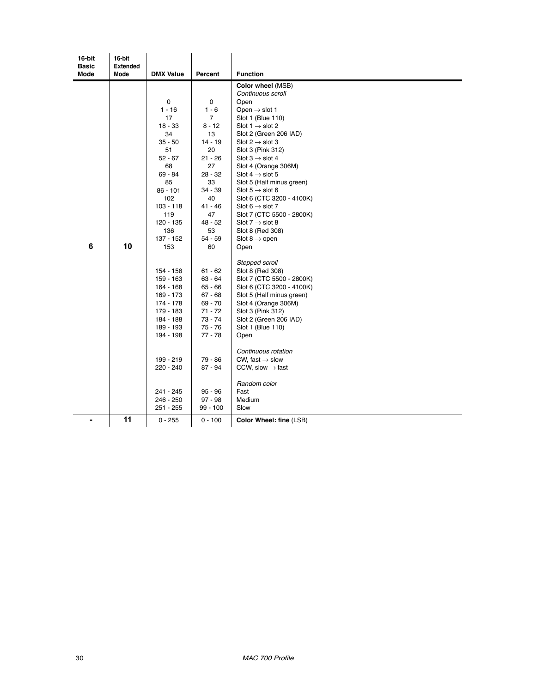| 16-bit<br><b>Basic</b> | 16-bit<br><b>Extended</b> |                        |                |                                                     |
|------------------------|---------------------------|------------------------|----------------|-----------------------------------------------------|
| Mode                   | Mode                      | <b>DMX Value</b>       | Percent        | <b>Function</b>                                     |
|                        |                           |                        |                | Color wheel (MSB)                                   |
|                        |                           |                        |                | Continuous scroll                                   |
|                        |                           | 0                      | $\mathbf 0$    | Open                                                |
|                        |                           | $1 - 16$               | $1 - 6$        | Open $\rightarrow$ slot 1                           |
|                        |                           | 17                     | $\overline{7}$ | Slot 1 (Blue 110)                                   |
|                        |                           | $18 - 33$              | $8 - 12$       | Slot $1 \rightarrow$ slot 2                         |
|                        |                           | 34                     | 13             | Slot 2 (Green 206 IAD)                              |
|                        |                           | $35 - 50$              | $14 - 19$      | Slot $2 \rightarrow$ slot 3                         |
|                        |                           | 51                     | 20             | Slot 3 (Pink 312)                                   |
|                        |                           | $52 - 67$              | 21 - 26<br>27  | Slot $3 \rightarrow$ slot 4                         |
|                        |                           | 68<br>69 - 84          | $28 - 32$      | Slot 4 (Orange 306M)<br>Slot 4 $\rightarrow$ slot 5 |
|                        |                           | 85                     | 33             | Slot 5 (Half minus green)                           |
|                        |                           | $86 - 101$             | 34 - 39        | Slot $5 \rightarrow$ slot 6                         |
|                        |                           | 102                    | 40             | Slot 6 (CTC 3200 - 4100K)                           |
|                        |                           | $103 - 118$            | 41 - 46        | Slot 6 $\rightarrow$ slot 7                         |
|                        |                           | 119                    | 47             | Slot 7 (CTC 5500 - 2800K)                           |
|                        |                           | 120 - 135              | 48 - 52        | Slot 7 $\rightarrow$ slot 8                         |
|                        |                           | 136                    | 53             | Slot 8 (Red 308)                                    |
|                        |                           | 137 - 152              | 54 - 59        | Slot 8 $\rightarrow$ open                           |
| 6                      | 10                        | 153                    | 60             | Open                                                |
|                        |                           |                        |                | Stepped scroll                                      |
|                        |                           |                        | $61 - 62$      | Slot 8 (Red 308)                                    |
|                        |                           | 154 - 158<br>159 - 163 | 63 - 64        | Slot 7 (CTC 5500 - 2800K)                           |
|                        |                           | $164 - 168$            | $65 - 66$      | Slot 6 (CTC 3200 - 4100K)                           |
|                        |                           | 169 - 173              | $67 - 68$      | Slot 5 (Half minus green)                           |
|                        |                           | 174 - 178              | 69 - 70        | Slot 4 (Orange 306M)                                |
|                        |                           | 179 - 183              | $71 - 72$      | Slot 3 (Pink 312)                                   |
|                        |                           | 184 - 188              | 73 - 74        | Slot 2 (Green 206 IAD)                              |
|                        |                           | 189 - 193              | $75 - 76$      | Slot 1 (Blue 110)                                   |
|                        |                           | 194 - 198              | $77 - 78$      | Open                                                |
|                        |                           |                        |                | Continuous rotation                                 |
|                        |                           | 199 - 219              | 79 - 86        | CW, fast $\rightarrow$ slow                         |
|                        |                           | 220 - 240              | 87 - 94        | CCW, slow $\rightarrow$ fast                        |
|                        |                           |                        |                |                                                     |
|                        |                           |                        |                | Random color                                        |
|                        |                           | 241 - 245              | $95 - 96$      | Fast                                                |
|                        |                           | 246 - 250              | $97 - 98$      | Medium                                              |
|                        |                           | 251 - 255              | 99 - 100       | Slow                                                |
|                        | 11                        | $0 - 255$              | $0 - 100$      | Color Wheel: fine (LSB)                             |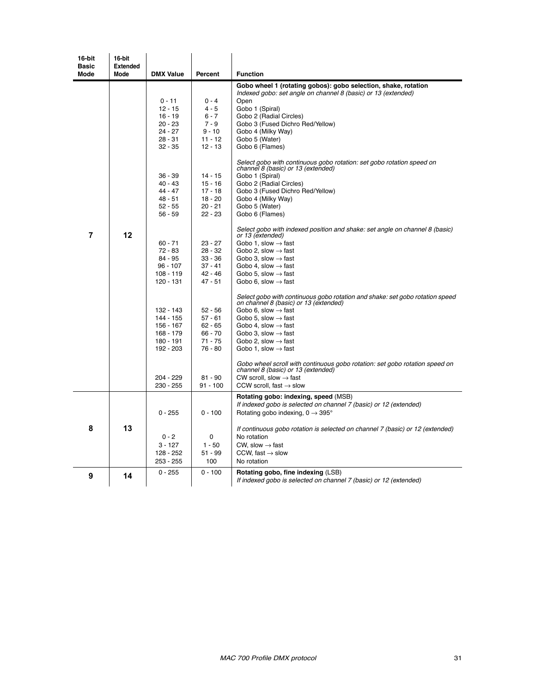| 16-bit<br><b>Basic</b> | 16-bit<br><b>Extended</b> |                          |                        |                                                                                                                       |
|------------------------|---------------------------|--------------------------|------------------------|-----------------------------------------------------------------------------------------------------------------------|
| <b>Mode</b>            | <b>Mode</b>               | <b>DMX Value</b>         | Percent                | <b>Function</b>                                                                                                       |
|                        |                           |                          |                        | Gobo wheel 1 (rotating gobos): gobo selection, shake, rotation                                                        |
|                        |                           |                          |                        | Indexed gobo: set angle on channel 8 (basic) or 13 (extended)                                                         |
|                        |                           | $0 - 11$                 | $0 - 4$                | Open                                                                                                                  |
|                        |                           | $12 - 15$                | 4 - 5                  | Gobo 1 (Spiral)                                                                                                       |
|                        |                           | $16 - 19$                | $6 - 7$                | Gobo 2 (Radial Circles)                                                                                               |
|                        |                           | $20 - 23$<br>$24 - 27$   | $7 - 9$<br>$9 - 10$    | Gobo 3 (Fused Dichro Red/Yellow)<br>Gobo 4 (Milky Way)                                                                |
|                        |                           | $28 - 31$                | $11 - 12$              | Gobo 5 (Water)                                                                                                        |
|                        |                           | $32 - 35$                | $12 - 13$              | Gobo 6 (Flames)                                                                                                       |
|                        |                           |                          |                        |                                                                                                                       |
|                        |                           |                          |                        | Select gobo with continuous gobo rotation: set gobo rotation speed on<br>channel 8 (basic) or 13 (extended)           |
|                        |                           | $36 - 39$                | $14 - 15$              | Gobo 1 (Spiral)                                                                                                       |
|                        |                           | $40 - 43$                | $15 - 16$              | Gobo 2 (Radial Circles)                                                                                               |
|                        |                           | $44 - 47$                | $17 - 18$              | Gobo 3 (Fused Dichro Red/Yellow)                                                                                      |
|                        |                           | $48 - 51$                | $18 - 20$              | Gobo 4 (Milky Way)                                                                                                    |
|                        |                           | $52 - 55$                | $20 - 21$              | Gobo 5 (Water)                                                                                                        |
|                        |                           | $56 - 59$                | $22 - 23$              | Gobo 6 (Flames)                                                                                                       |
| $\overline{7}$         | 12                        |                          |                        | Select gobo with indexed position and shake: set angle on channel 8 (basic)<br>or 13 (extended)                       |
|                        |                           | $60 - 71$                | $23 - 27$              | Gobo 1, slow $\rightarrow$ fast                                                                                       |
|                        |                           | $72 - 83$                | $28 - 32$              | Gobo 2, slow $\rightarrow$ fast                                                                                       |
|                        |                           | $84 - 95$                | $33 - 36$              | Gobo 3. slow $\rightarrow$ fast                                                                                       |
|                        |                           | $96 - 107$               | $37 - 41$              | Gobo 4. slow $\rightarrow$ fast                                                                                       |
|                        |                           | $108 - 119$              | $42 - 46$<br>$47 - 51$ | Gobo 5, slow $\rightarrow$ fast                                                                                       |
|                        |                           | 120 - 131                |                        | Gobo 6, slow $\rightarrow$ fast                                                                                       |
|                        |                           |                          |                        | Select gobo with continuous gobo rotation and shake: set gobo rotation speed<br>on channel 8 (basic) or 13 (extended) |
|                        |                           | 132 - 143                | $52 - 56$              | Gobo 6, slow $\rightarrow$ fast                                                                                       |
|                        |                           | 144 - 155                | $57 - 61$              | Gobo 5, slow $\rightarrow$ fast                                                                                       |
|                        |                           | 156 - 167<br>$168 - 179$ | $62 - 65$<br>$66 - 70$ | Gobo 4, slow $\rightarrow$ fast                                                                                       |
|                        |                           | 180 - 191                | 71 - 75                | Gobo 3, slow $\rightarrow$ fast<br>Gobo 2, slow $\rightarrow$ fast                                                    |
|                        |                           | 192 - 203                | $76 - 80$              | Gobo 1, slow $\rightarrow$ fast                                                                                       |
|                        |                           |                          |                        |                                                                                                                       |
|                        |                           |                          |                        | Gobo wheel scroll with continuous gobo rotation: set gobo rotation speed on                                           |
|                        |                           | 204 - 229                | $81 - 90$              | channel 8 (basic) or 13 (extended)<br>CW scroll, slow $\rightarrow$ fast                                              |
|                        |                           | 230 - 255                | $91 - 100$             | CCW scroll, fast $\rightarrow$ slow                                                                                   |
|                        |                           |                          |                        | Rotating gobo: indexing, speed (MSB)                                                                                  |
|                        |                           |                          |                        | If indexed gobo is selected on channel 7 (basic) or 12 (extended)                                                     |
|                        |                           | $0 - 255$                | $0 - 100$              | Rotating gobo indexing, $0 \rightarrow 395^{\circ}$                                                                   |
|                        |                           |                          |                        |                                                                                                                       |
| 8                      | 13                        |                          |                        | If continuous gobo rotation is selected on channel 7 (basic) or 12 (extended)                                         |
|                        |                           | $0 - 2$                  | 0                      | No rotation                                                                                                           |
|                        |                           | $3 - 127$                | $1 - 50$               | CW, slow $\rightarrow$ fast                                                                                           |
|                        |                           | 128 - 252                | $51 - 99$              | CCW, fast $\rightarrow$ slow                                                                                          |
|                        |                           | $253 - 255$              | 100                    | No rotation                                                                                                           |
| 9                      | 14                        | $0 - 255$                | $0 - 100$              | Rotating gobo, fine indexing (LSB)                                                                                    |
|                        |                           |                          |                        | If indexed gobo is selected on channel 7 (basic) or 12 (extended)                                                     |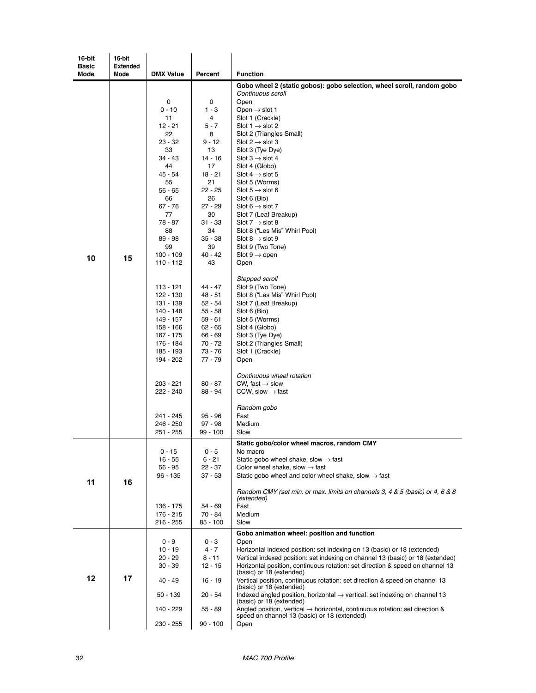| 16-bit       | 16-bit          |                        |                      |                                                                                                                                          |
|--------------|-----------------|------------------------|----------------------|------------------------------------------------------------------------------------------------------------------------------------------|
| <b>Basic</b> | <b>Extended</b> |                        | Percent              |                                                                                                                                          |
| Mode         | <b>Mode</b>     | <b>DMX Value</b>       |                      | <b>Function</b><br>Gobo wheel 2 (static gobos): gobo selection, wheel scroll, random gobo                                                |
|              |                 |                        |                      | Continuous scroll                                                                                                                        |
|              |                 | 0                      | 0                    | Open                                                                                                                                     |
|              |                 | $0 - 10$<br>11         | $1 - 3$<br>4         | Open $\rightarrow$ slot 1<br>Slot 1 (Crackle)                                                                                            |
|              |                 | 12 - 21                | 5 - 7                | Slot 1 $\rightarrow$ slot 2                                                                                                              |
|              |                 | 22                     | 8                    | Slot 2 (Triangles Small)                                                                                                                 |
|              |                 | $23 - 32$              | 9 - 12               | Slot $2 \rightarrow$ slot 3                                                                                                              |
|              |                 | 33<br>$34 - 43$        | 13<br>$14 - 16$      | Slot 3 (Tye Dye)<br>Slot $3 \rightarrow$ slot 4                                                                                          |
|              |                 | 44                     | 17                   | Slot 4 (Globo)                                                                                                                           |
|              |                 | 45 - 54                | $18 - 21$            | Slot $4 \rightarrow$ slot 5                                                                                                              |
|              |                 | 55<br>$56 - 65$        | 21<br>22 - 25        | Slot 5 (Worms)<br>Slot $5 \rightarrow$ slot 6                                                                                            |
|              |                 | 66                     | 26                   | Slot 6 (Bio)                                                                                                                             |
|              |                 | $67 - 76$              | 27 - 29              | Slot 6 $\rightarrow$ slot 7                                                                                                              |
|              |                 | 77                     | 30                   | Slot 7 (Leaf Breakup)                                                                                                                    |
|              |                 | 78 - 87<br>88          | 31 - 33<br>34        | Slot $7 \rightarrow$ slot 8<br>Slot 8 ("Les Mis" Whirl Pool)                                                                             |
|              |                 | 89 - 98                | 35 - 38              | Slot 8 $\rightarrow$ slot 9                                                                                                              |
|              |                 | 99                     | 39                   | Slot 9 (Two Tone)                                                                                                                        |
| 10           | 15              | 100 - 109<br>110 - 112 | $40 - 42$<br>43      | Slot $9 \rightarrow$ open<br>Open                                                                                                        |
|              |                 |                        |                      |                                                                                                                                          |
|              |                 |                        |                      | Stepped scroll                                                                                                                           |
|              |                 | 113 - 121              | $44 - 47$            | Slot 9 (Two Tone)                                                                                                                        |
|              |                 | 122 - 130<br>131 - 139 | 48 - 51<br>$52 - 54$ | Slot 8 ("Les Mis" Whirl Pool)<br>Slot 7 (Leaf Breakup)                                                                                   |
|              |                 | 140 - 148              | $55 - 58$            | Slot 6 (Bio)                                                                                                                             |
|              |                 | 149 - 157              | 59 - 61              | Slot 5 (Worms)                                                                                                                           |
|              |                 | 158 - 166              | $62 - 65$<br>66 - 69 | Slot 4 (Globo)                                                                                                                           |
|              |                 | 167 - 175<br>176 - 184 | 70 - 72              | Slot 3 (Tye Dye)<br>Slot 2 (Triangles Small)                                                                                             |
|              |                 | 185 - 193              | 73 - 76              | Slot 1 (Crackle)                                                                                                                         |
|              |                 | 194 - 202              | 77 - 79              | Open                                                                                                                                     |
|              |                 |                        |                      | Continuous wheel rotation                                                                                                                |
|              |                 | 203 - 221              | $80 - 87$            | CW, fast $\rightarrow$ slow                                                                                                              |
|              |                 | 222 - 240              | 88 - 94              | CCW, slow $\rightarrow$ fast                                                                                                             |
|              |                 |                        |                      | Random gobo                                                                                                                              |
|              |                 | 241 - 245              | $95 - 96$            | Fast                                                                                                                                     |
|              |                 | 246 - 250              | 97 - 98<br>99 - 100  | Medium<br>Slow                                                                                                                           |
|              |                 | 251 - 255              |                      |                                                                                                                                          |
|              |                 | $0 - 15$               | $0 - 5$              | Static gobo/color wheel macros, random CMY<br>No macro                                                                                   |
|              |                 | $16 - 55$              | $6 - 21$             | Static gobo wheel shake, slow $\rightarrow$ fast                                                                                         |
|              |                 | $56 - 95$              | 22 - 37              | Color wheel shake, slow $\rightarrow$ fast                                                                                               |
| 11           | 16              | $96 - 135$             | 37 - 53              | Static gobo wheel and color wheel shake, slow $\rightarrow$ fast                                                                         |
|              |                 |                        |                      | Random CMY (set min. or max. limits on channels 3, 4 & 5 (basic) or 4, 6 & 8                                                             |
|              |                 | 136 - 175              | 54 - 69              | (extended)<br>Fast                                                                                                                       |
|              |                 | $176 - 215$            | 70 - 84              | Medium                                                                                                                                   |
|              |                 | $216 - 255$            | 85 - 100             | Slow                                                                                                                                     |
|              |                 |                        |                      | Gobo animation wheel: position and function                                                                                              |
|              |                 | $0 - 9$<br>$10 - 19$   | 0 - 3<br>$4 - 7$     | Open<br>Horizontal indexed position: set indexing on 13 (basic) or 18 (extended)                                                         |
|              |                 | $20 - 29$              | $8 - 11$             | Vertical indexed position: set indexing on channel 13 (basic) or 18 (extended)                                                           |
| 12           |                 | $30 - 39$              | $12 - 15$            | Horizontal position, continuous rotation: set direction & speed on channel 13                                                            |
|              | 17              | 40 - 49                | $16 - 19$            | (basic) or 18 (extended)<br>Vertical position, continuous rotation: set direction & speed on channel 13                                  |
|              |                 |                        |                      | (basic) or 18 (extended)                                                                                                                 |
|              |                 | $50 - 139$             | 20 - 54              | Indexed angled position, horizontal $\rightarrow$ vertical: set indexing on channel 13<br>(basic) or 18 (extended)                       |
|              |                 | 140 - 229              | $55 - 89$            | Angled position, vertical $\rightarrow$ horizontal, continuous rotation: set direction &<br>speed on channel 13 (basic) or 18 (extended) |
|              |                 | 230 - 255              | $90 - 100$           | Open                                                                                                                                     |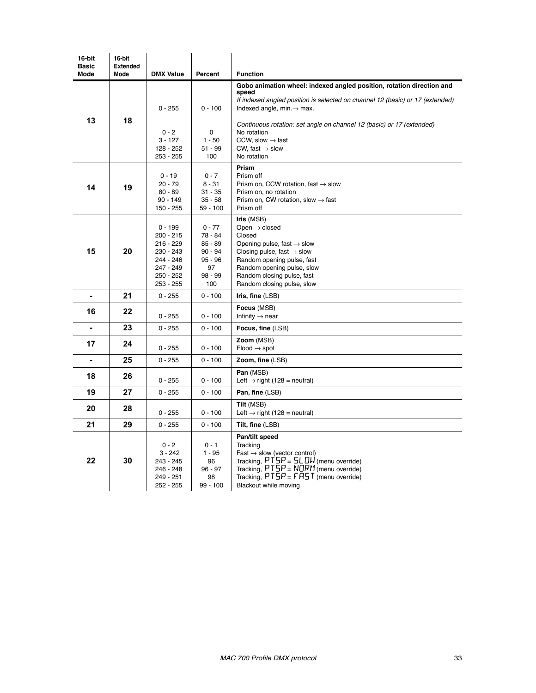| 16-bit<br><b>Basic</b> | 16-bit<br><b>Extended</b> |                                                                                                                |                                                                                      |                                                                                                                                                                                                                                                                                                                                                                                 |
|------------------------|---------------------------|----------------------------------------------------------------------------------------------------------------|--------------------------------------------------------------------------------------|---------------------------------------------------------------------------------------------------------------------------------------------------------------------------------------------------------------------------------------------------------------------------------------------------------------------------------------------------------------------------------|
| <b>Mode</b>            | Mode                      | <b>DMX Value</b>                                                                                               | Percent                                                                              | <b>Function</b>                                                                                                                                                                                                                                                                                                                                                                 |
| 13                     | 18                        | $0 - 255$<br>$0 - 2$<br>$3 - 127$<br>128 - 252<br>$253 - 255$                                                  | $0 - 100$<br>0<br>$1 - 50$<br>51 - 99<br>100                                         | Gobo animation wheel: indexed angled position, rotation direction and<br>speed<br>If indexed angled position is selected on channel 12 (basic) or 17 (extended)<br>Indexed angle, $min \rightarrow max$ .<br>Continuous rotation: set angle on channel 12 (basic) or 17 (extended)<br>No rotation<br>CCW, slow $\rightarrow$ fast<br>CW, fast $\rightarrow$ slow<br>No rotation |
| 14                     | 19                        | $0 - 19$<br>$20 - 79$<br>$80 - 89$<br>$90 - 149$<br>150 - 255                                                  | $0 - 7$<br>$8 - 31$<br>$31 - 35$<br>$35 - 58$<br>$59 - 100$                          | Prism<br>Prism off<br>Prism on, CCW rotation, fast $\rightarrow$ slow<br>Prism on, no rotation<br>Prism on, CW rotation, slow $\rightarrow$ fast<br>Prism off                                                                                                                                                                                                                   |
| 15                     | 20                        | $0 - 199$<br>$200 - 215$<br>$216 - 229$<br>$230 - 243$<br>244 - 246<br>247 - 249<br>$250 - 252$<br>$253 - 255$ | $0 - 77$<br>78 - 84<br>$85 - 89$<br>$90 - 94$<br>$95 - 96$<br>97<br>$98 - 99$<br>100 | Iris (MSB)<br>Open $\rightarrow$ closed<br>Closed<br>Opening pulse, fast $\rightarrow$ slow<br>Closing pulse, fast $\rightarrow$ slow<br>Random opening pulse, fast<br>Random opening pulse, slow<br>Random closing pulse, fast<br>Random closing pulse, slow                                                                                                                   |
| $\blacksquare$         | 21                        | $0 - 255$                                                                                                      | $0 - 100$                                                                            | Iris, fine $(LSB)$                                                                                                                                                                                                                                                                                                                                                              |
| 16                     | 22                        | $0 - 255$                                                                                                      | $0 - 100$                                                                            | Focus (MSB)<br>Infinity $\rightarrow$ near                                                                                                                                                                                                                                                                                                                                      |
|                        | 23                        | $0 - 255$                                                                                                      | $0 - 100$                                                                            | Focus, fine (LSB)                                                                                                                                                                                                                                                                                                                                                               |
| 17                     | 24                        | $0 - 255$                                                                                                      | $0 - 100$                                                                            | Zoom (MSB)<br>$Flood \rightarrow spot$                                                                                                                                                                                                                                                                                                                                          |
| $\blacksquare$         | 25                        | $0 - 255$                                                                                                      | $0 - 100$                                                                            | Zoom, fine (LSB)                                                                                                                                                                                                                                                                                                                                                                |
| 18                     | 26                        | $0 - 255$                                                                                                      | $0 - 100$                                                                            | Pan (MSB)<br>Left $\rightarrow$ right (128 = neutral)                                                                                                                                                                                                                                                                                                                           |
| 19                     | 27                        | $0 - 255$                                                                                                      | $0 - 100$                                                                            | Pan, fine (LSB)                                                                                                                                                                                                                                                                                                                                                                 |
| 20                     | 28                        | $0 - 255$                                                                                                      | $0 - 100$                                                                            | Tilt (MSB)<br>Left $\rightarrow$ right (128 = neutral)                                                                                                                                                                                                                                                                                                                          |
| 21                     | 29                        | $0 - 255$                                                                                                      | $0 - 100$                                                                            | Tilt, fine (LSB)                                                                                                                                                                                                                                                                                                                                                                |
| 22                     | 30                        | $0 - 2$<br>$3 - 242$<br>243 - 245<br>246 - 248<br>249 - 251<br>$252 - 255$                                     | $0 - 1$<br>$1 - 95$<br>96<br>$96 - 97$<br>98<br>$99 - 100$                           | Pan/tilt speed<br>Tracking<br>$Fast \rightarrow slow$ (vector control)<br>Tracking, $PTSP = SL$ DW (menu override)<br>Tracking, $P T \bar{S} P = \overline{N} \bar{Q} \overline{R} M$ (menu override)<br>Tracking, $PTSP = FR5T$ (menu override)<br>Blackout while moving                                                                                                       |